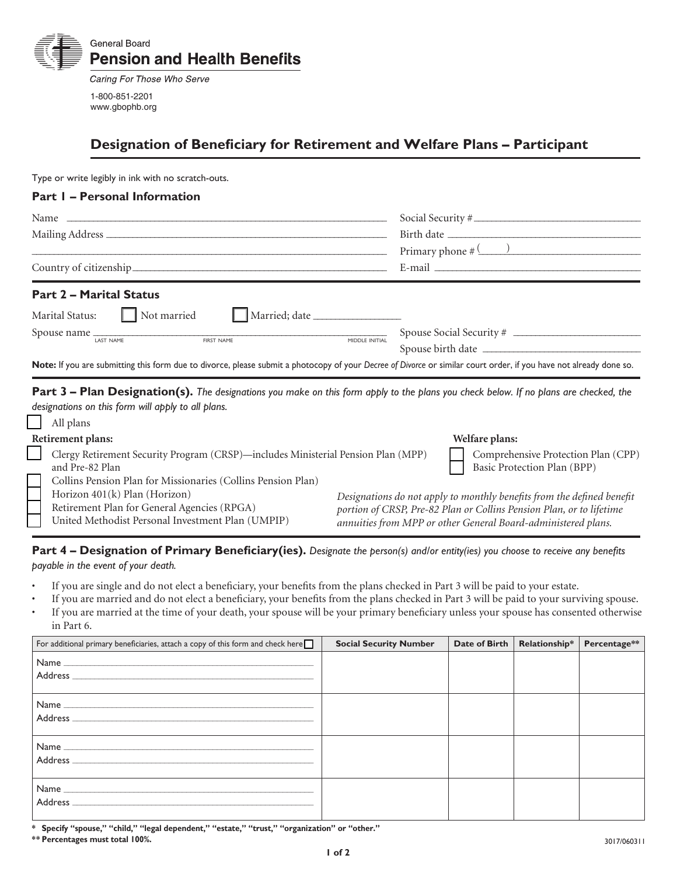

Caring For Those Who Serve 1-800-851-2201 www.gbophb.org

# **Designation of Beneficiary for Retirement and Welfare Plans – Participant**

Type or write legibly in ink with no scratch-outs.

### **Part 1 – Personal Information**

|                                |               |                | Social Security #                                                                                                                                                                                                                                                                                                     |
|--------------------------------|---------------|----------------|-----------------------------------------------------------------------------------------------------------------------------------------------------------------------------------------------------------------------------------------------------------------------------------------------------------------------|
|                                |               |                |                                                                                                                                                                                                                                                                                                                       |
|                                |               |                | Primary phone $\#$ (2000)                                                                                                                                                                                                                                                                                             |
|                                |               |                | E-mail $\frac{1}{2}$ $\frac{1}{2}$ $\frac{1}{2}$ $\frac{1}{2}$ $\frac{1}{2}$ $\frac{1}{2}$ $\frac{1}{2}$ $\frac{1}{2}$ $\frac{1}{2}$ $\frac{1}{2}$ $\frac{1}{2}$ $\frac{1}{2}$ $\frac{1}{2}$ $\frac{1}{2}$ $\frac{1}{2}$ $\frac{1}{2}$ $\frac{1}{2}$ $\frac{1}{2}$ $\frac{1}{2}$ $\frac{1}{2}$ $\frac{1}{2}$ $\frac{$ |
| <b>Part 2 - Marital Status</b> |               |                |                                                                                                                                                                                                                                                                                                                       |
| Marital Status: Mot married    | Married; date |                |                                                                                                                                                                                                                                                                                                                       |
|                                |               |                |                                                                                                                                                                                                                                                                                                                       |
| LAST NAME                      | FIRST NAME    | MIDDLE INITIAL | Spouse birth date                                                                                                                                                                                                                                                                                                     |
|                                |               |                | Note: If you are submitting this form due to divorce, please submit a photocopy of your Decree of Divorce or similar court order, if you have not already done so.                                                                                                                                                    |

**Part 3 – Plan Designation(s).** The designations you make on this form apply to the plans you check below. If no plans are checked, the *designations on this form will apply to all plans.* 

| All plans                                                                         |                                                                        |
|-----------------------------------------------------------------------------------|------------------------------------------------------------------------|
| Retirement plans:                                                                 | Welfare plans:                                                         |
| Clergy Retirement Security Program (CRSP)-includes Ministerial Pension Plan (MPP) | Comprehensive Protection Plan (CPP)                                    |
| and Pre-82 Plan                                                                   | Basic Protection Plan (BPP)                                            |
| Collins Pension Plan for Missionaries (Collins Pension Plan)                      |                                                                        |
| Horizon 401(k) Plan (Horizon)                                                     | Designations do not apply to monthly benefits from the defined benefit |
| Retirement Plan for General Agencies (RPGA)                                       | portion of CRSP, Pre-82 Plan or Collins Pension Plan, or to lifetime   |
| United Methodist Personal Investment Plan (UMPIP)                                 | annuities from MPP or other General Board-administered plans.          |
|                                                                                   |                                                                        |

# Part 4 – Designation of Primary Beneficiary(ies). Designate the person(s) and/or entity(ies) you choose to receive any benefits

*payable in the event of your death.*

- If you are single and do not elect a beneficiary, your benefits from the plans checked in Part 3 will be paid to your estate.
- If you are married and do not elect a beneficiary, your benefits from the plans checked in Part 3 will be paid to your surviving spouse.
- • If you are married at the time of your death, your spouse will be your primary beneficiary unless your spouse has consented otherwise in Part 6.

| For additional primary beneficiaries, attach a copy of this form and check here $\Box$                                                  | <b>Social Security Number</b> | Date of Birth | Relationship* | Percentage** |
|-----------------------------------------------------------------------------------------------------------------------------------------|-------------------------------|---------------|---------------|--------------|
|                                                                                                                                         |                               |               |               |              |
| <b>Address</b>                                                                                                                          |                               |               |               |              |
| <b>Address</b><br><u> 1986 - Johann Barn, margaret amerikan basar dan berasal dan berasal dalam basar dan berasal dan berasal dan b</u> |                               |               |               |              |
| <b>Address</b>                                                                                                                          |                               |               |               |              |

**\* Specify "spouse," "child," "legal dependent," "estate," "trust," "organization" or "other."**

**\*\* Percentages must total 100%.**